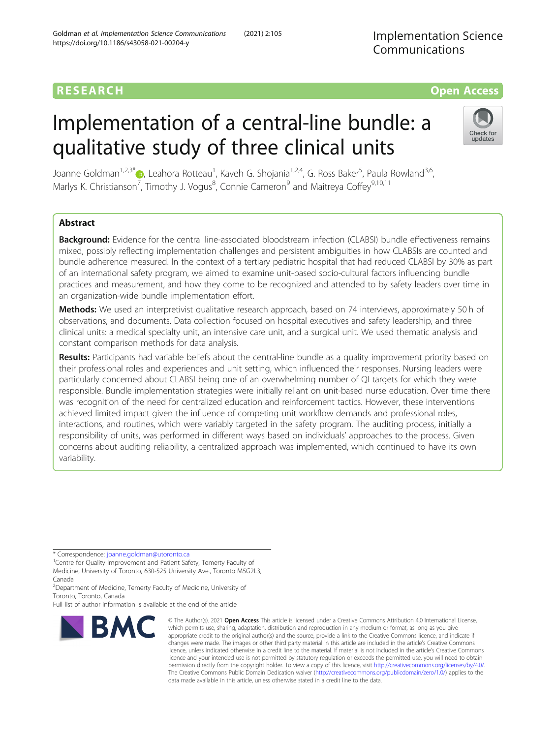# Implementation of a central-line bundle: a qualitative study of three clinical units

Joanne Goldman<sup>1,2,3[\\*](http://orcid.org/0000-0003-1589-4070)</sup>®, Leahora Rotteau<sup>1</sup>, Kaveh G. Shojania<sup>1,2,4</sup>, G. Ross Baker<sup>5</sup>, Paula Rowland<sup>3,6</sup>, Marlys K. Christianson<sup>7</sup>, Timothy J. Vogus<sup>8</sup>, Connie Cameron<sup>9</sup> and Maitreya Coffey<sup>9,10,11</sup>

## Abstract

Background: Evidence for the central line-associated bloodstream infection (CLABSI) bundle effectiveness remains mixed, possibly reflecting implementation challenges and persistent ambiguities in how CLABSIs are counted and bundle adherence measured. In the context of a tertiary pediatric hospital that had reduced CLABSI by 30% as part of an international safety program, we aimed to examine unit-based socio-cultural factors influencing bundle practices and measurement, and how they come to be recognized and attended to by safety leaders over time in an organization-wide bundle implementation effort.

Methods: We used an interpretivist qualitative research approach, based on 74 interviews, approximately 50 h of observations, and documents. Data collection focused on hospital executives and safety leadership, and three clinical units: a medical specialty unit, an intensive care unit, and a surgical unit. We used thematic analysis and constant comparison methods for data analysis.

Results: Participants had variable beliefs about the central-line bundle as a quality improvement priority based on their professional roles and experiences and unit setting, which influenced their responses. Nursing leaders were particularly concerned about CLABSI being one of an overwhelming number of QI targets for which they were responsible. Bundle implementation strategies were initially reliant on unit-based nurse education. Over time there was recognition of the need for centralized education and reinforcement tactics. However, these interventions achieved limited impact given the influence of competing unit workflow demands and professional roles, interactions, and routines, which were variably targeted in the safety program. The auditing process, initially a responsibility of units, was performed in different ways based on individuals' approaches to the process. Given concerns about auditing reliability, a centralized approach was implemented, which continued to have its own variability.

\* Correspondence: [joanne.goldman@utoronto.ca](mailto:joanne.goldman@utoronto.ca) <sup>1</sup>

<sup>1</sup> Centre for Quality Improvement and Patient Safety, Temerty Faculty of Medicine, University of Toronto, 630-525 University Ave., Toronto M5G2L3, Canada

<sup>2</sup>Department of Medicine, Temerty Faculty of Medicine, University of Toronto, Toronto, Canada

Full list of author information is available at the end of the article



<sup>©</sup> The Author(s), 2021 **Open Access** This article is licensed under a Creative Commons Attribution 4.0 International License, which permits use, sharing, adaptation, distribution and reproduction in any medium or format, as long as you give appropriate credit to the original author(s) and the source, provide a link to the Creative Commons licence, and indicate if changes were made. The images or other third party material in this article are included in the article's Creative Commons licence, unless indicated otherwise in a credit line to the material. If material is not included in the article's Creative Commons licence and your intended use is not permitted by statutory regulation or exceeds the permitted use, you will need to obtain permission directly from the copyright holder. To view a copy of this licence, visit [http://creativecommons.org/licenses/by/4.0/.](http://creativecommons.org/licenses/by/4.0/) The Creative Commons Public Domain Dedication waiver [\(http://creativecommons.org/publicdomain/zero/1.0/](http://creativecommons.org/publicdomain/zero/1.0/)) applies to the data made available in this article, unless otherwise stated in a credit line to the data.

Implementation Science Communications

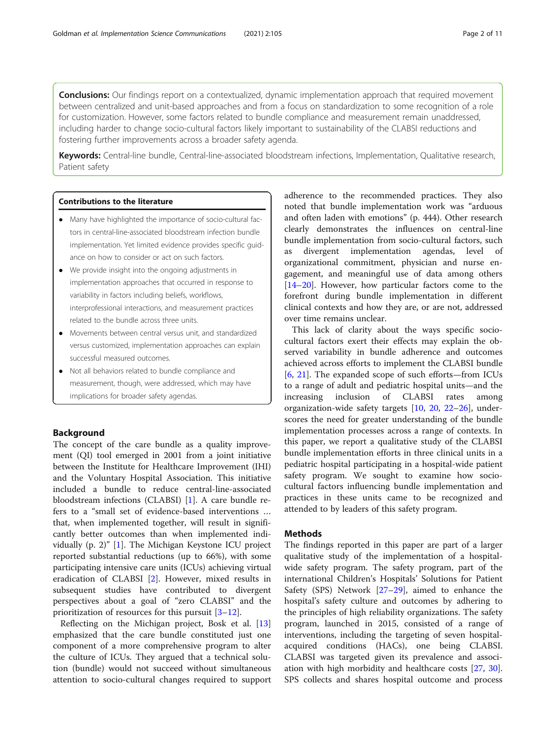**Conclusions:** Our findings report on a contextualized, dynamic implementation approach that required movement between centralized and unit-based approaches and from a focus on standardization to some recognition of a role for customization. However, some factors related to bundle compliance and measurement remain unaddressed, including harder to change socio-cultural factors likely important to sustainability of the CLABSI reductions and fostering further improvements across a broader safety agenda.

Keywords: Central-line bundle, Central-line-associated bloodstream infections, Implementation, Qualitative research, Patient safety

## Contributions to the literature

- Many have highlighted the importance of socio-cultural factors in central-line-associated bloodstream infection bundle implementation. Yet limited evidence provides specific guidance on how to consider or act on such factors.
- We provide insight into the ongoing adjustments in implementation approaches that occurred in response to variability in factors including beliefs, workflows, interprofessional interactions, and measurement practices related to the bundle across three units.
- Movements between central versus unit, and standardized versus customized, implementation approaches can explain successful measured outcomes.
- Not all behaviors related to bundle compliance and measurement, though, were addressed, which may have implications for broader safety agendas.

## Background

The concept of the care bundle as a quality improvement (QI) tool emerged in 2001 from a joint initiative between the Institute for Healthcare Improvement (IHI) and the Voluntary Hospital Association. This initiative included a bundle to reduce central-line-associated bloodstream infections (CLABSI) [\[1](#page-9-0)]. A care bundle refers to a "small set of evidence-based interventions … that, when implemented together, will result in significantly better outcomes than when implemented individually (p. 2)" [[1](#page-9-0)]. The Michigan Keystone ICU project reported substantial reductions (up to 66%), with some participating intensive care units (ICUs) achieving virtual eradication of CLABSI [[2\]](#page-9-0). However, mixed results in subsequent studies have contributed to divergent perspectives about a goal of "zero CLABSI" and the prioritization of resources for this pursuit [\[3](#page-9-0)–[12\]](#page-9-0).

Reflecting on the Michigan project, Bosk et al. [[13](#page-9-0)] emphasized that the care bundle constituted just one component of a more comprehensive program to alter the culture of ICUs. They argued that a technical solution (bundle) would not succeed without simultaneous attention to socio-cultural changes required to support adherence to the recommended practices. They also noted that bundle implementation work was "arduous and often laden with emotions" (p. 444). Other research clearly demonstrates the influences on central-line bundle implementation from socio-cultural factors, such as divergent implementation agendas, level of organizational commitment, physician and nurse engagement, and meaningful use of data among others [[14](#page-9-0)–[20](#page-10-0)]. However, how particular factors come to the forefront during bundle implementation in different clinical contexts and how they are, or are not, addressed over time remains unclear.

This lack of clarity about the ways specific sociocultural factors exert their effects may explain the observed variability in bundle adherence and outcomes achieved across efforts to implement the CLABSI bundle [[6,](#page-9-0) [21](#page-10-0)]. The expanded scope of such efforts—from ICUs to a range of adult and pediatric hospital units—and the increasing inclusion of CLABSI rates among organization-wide safety targets [[10,](#page-9-0) [20,](#page-10-0) [22](#page-10-0)–[26\]](#page-10-0), underscores the need for greater understanding of the bundle implementation processes across a range of contexts. In this paper, we report a qualitative study of the CLABSI bundle implementation efforts in three clinical units in a pediatric hospital participating in a hospital-wide patient safety program. We sought to examine how sociocultural factors influencing bundle implementation and practices in these units came to be recognized and attended to by leaders of this safety program.

## **Methods**

The findings reported in this paper are part of a larger qualitative study of the implementation of a hospitalwide safety program. The safety program, part of the international Children's Hospitals' Solutions for Patient Safety (SPS) Network [\[27](#page-10-0)–[29\]](#page-10-0), aimed to enhance the hospital's safety culture and outcomes by adhering to the principles of high reliability organizations. The safety program, launched in 2015, consisted of a range of interventions, including the targeting of seven hospitalacquired conditions (HACs), one being CLABSI. CLABSI was targeted given its prevalence and association with high morbidity and healthcare costs [[27,](#page-10-0) [30](#page-10-0)]. SPS collects and shares hospital outcome and process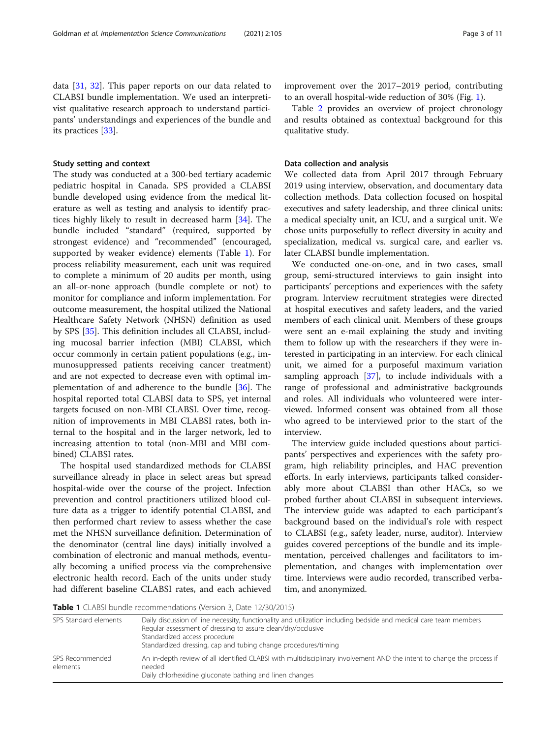data [[31,](#page-10-0) [32](#page-10-0)]. This paper reports on our data related to CLABSI bundle implementation. We used an interpretivist qualitative research approach to understand participants' understandings and experiences of the bundle and its practices [\[33](#page-10-0)].

#### Study setting and context

The study was conducted at a 300-bed tertiary academic pediatric hospital in Canada. SPS provided a CLABSI bundle developed using evidence from the medical literature as well as testing and analysis to identify practices highly likely to result in decreased harm [\[34](#page-10-0)]. The bundle included "standard" (required, supported by strongest evidence) and "recommended" (encouraged, supported by weaker evidence) elements (Table 1). For process reliability measurement, each unit was required to complete a minimum of 20 audits per month, using an all-or-none approach (bundle complete or not) to monitor for compliance and inform implementation. For outcome measurement, the hospital utilized the National Healthcare Safety Network (NHSN) definition as used by SPS [\[35](#page-10-0)]. This definition includes all CLABSI, including mucosal barrier infection (MBI) CLABSI, which occur commonly in certain patient populations (e.g., immunosuppressed patients receiving cancer treatment) and are not expected to decrease even with optimal implementation of and adherence to the bundle [\[36](#page-10-0)]. The hospital reported total CLABSI data to SPS, yet internal targets focused on non-MBI CLABSI. Over time, recognition of improvements in MBI CLABSI rates, both internal to the hospital and in the larger network, led to increasing attention to total (non-MBI and MBI combined) CLABSI rates.

The hospital used standardized methods for CLABSI surveillance already in place in select areas but spread hospital-wide over the course of the project. Infection prevention and control practitioners utilized blood culture data as a trigger to identify potential CLABSI, and then performed chart review to assess whether the case met the NHSN surveillance definition. Determination of the denominator (central line days) initially involved a combination of electronic and manual methods, eventually becoming a unified process via the comprehensive electronic health record. Each of the units under study had different baseline CLABSI rates, and each achieved improvement over the 2017–2019 period, contributing to an overall hospital-wide reduction of 30% (Fig. [1\)](#page-3-0).

Table [2](#page-3-0) provides an overview of project chronology and results obtained as contextual background for this qualitative study.

#### Data collection and analysis

We collected data from April 2017 through February 2019 using interview, observation, and documentary data collection methods. Data collection focused on hospital executives and safety leadership, and three clinical units: a medical specialty unit, an ICU, and a surgical unit. We chose units purposefully to reflect diversity in acuity and specialization, medical vs. surgical care, and earlier vs. later CLABSI bundle implementation.

We conducted one-on-one, and in two cases, small group, semi-structured interviews to gain insight into participants' perceptions and experiences with the safety program. Interview recruitment strategies were directed at hospital executives and safety leaders, and the varied members of each clinical unit. Members of these groups were sent an e-mail explaining the study and inviting them to follow up with the researchers if they were interested in participating in an interview. For each clinical unit, we aimed for a purposeful maximum variation sampling approach  $[37]$  $[37]$ , to include individuals with a range of professional and administrative backgrounds and roles. All individuals who volunteered were interviewed. Informed consent was obtained from all those who agreed to be interviewed prior to the start of the interview.

The interview guide included questions about participants' perspectives and experiences with the safety program, high reliability principles, and HAC prevention efforts. In early interviews, participants talked considerably more about CLABSI than other HACs, so we probed further about CLABSI in subsequent interviews. The interview guide was adapted to each participant's background based on the individual's role with respect to CLABSI (e.g., safety leader, nurse, auditor). Interview guides covered perceptions of the bundle and its implementation, perceived challenges and facilitators to implementation, and changes with implementation over time. Interviews were audio recorded, transcribed verbatim, and anonymized.

Table 1 CLABSI bundle recommendations (Version 3, Date 12/30/2015)

| SPS Standard elements       | Daily discussion of line necessity, functionality and utilization including bedside and medical care team members<br>Regular assessment of dressing to assure clean/dry/occlusive<br>Standardized access procedure<br>Standardized dressing, cap and tubing change procedures/timing |  |  |
|-----------------------------|--------------------------------------------------------------------------------------------------------------------------------------------------------------------------------------------------------------------------------------------------------------------------------------|--|--|
| SPS Recommended<br>elements | An in-depth review of all identified CLABSI with multidisciplinary involvement AND the intent to change the process if<br>needed<br>Daily chlorhexidine gluconate bathing and linen changes                                                                                          |  |  |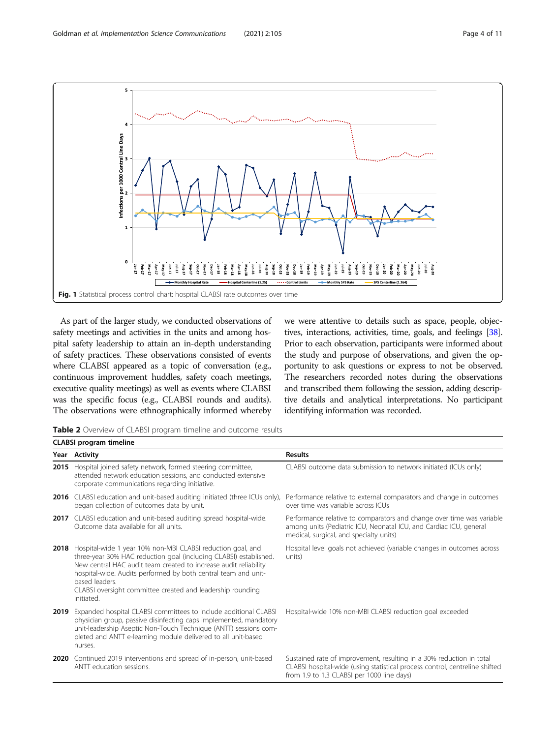<span id="page-3-0"></span>

As part of the larger study, we conducted observations of safety meetings and activities in the units and among hospital safety leadership to attain an in-depth understanding of safety practices. These observations consisted of events where CLABSI appeared as a topic of conversation (e.g., continuous improvement huddles, safety coach meetings, executive quality meetings) as well as events where CLABSI was the specific focus (e.g., CLABSI rounds and audits). The observations were ethnographically informed whereby we were attentive to details such as space, people, objectives, interactions, activities, time, goals, and feelings [\[38](#page-10-0)]. Prior to each observation, participants were informed about the study and purpose of observations, and given the opportunity to ask questions or express to not be observed. The researchers recorded notes during the observations and transcribed them following the session, adding descriptive details and analytical interpretations. No participant identifying information was recorded.

Table 2 Overview of CLABSI program timeline and outcome results

| <b>CLABSI program timeline</b> |                                                                                                                                                                                                                                                                                                                                                                           |                                                                                                                                                                                                   |  |
|--------------------------------|---------------------------------------------------------------------------------------------------------------------------------------------------------------------------------------------------------------------------------------------------------------------------------------------------------------------------------------------------------------------------|---------------------------------------------------------------------------------------------------------------------------------------------------------------------------------------------------|--|
|                                | Year Activity                                                                                                                                                                                                                                                                                                                                                             | <b>Results</b>                                                                                                                                                                                    |  |
|                                | 2015 Hospital joined safety network, formed steering committee,<br>attended network education sessions, and conducted extensive<br>corporate communications regarding initiative.                                                                                                                                                                                         | CLABSI outcome data submission to network initiated (ICUs only)                                                                                                                                   |  |
|                                | <b>2016</b> CLABSI education and unit-based auditing initiated (three ICUs only),<br>began collection of outcomes data by unit.                                                                                                                                                                                                                                           | Performance relative to external comparators and change in outcomes<br>over time was variable across ICUs                                                                                         |  |
|                                | <b>2017</b> CLABSI education and unit-based auditing spread hospital-wide.<br>Outcome data available for all units.                                                                                                                                                                                                                                                       | Performance relative to comparators and change over time was variable<br>among units (Pediatric ICU, Neonatal ICU, and Cardiac ICU, general<br>medical, surgical, and specialty units)            |  |
|                                | 2018 Hospital-wide 1 year 10% non-MBI CLABSI reduction goal, and<br>three-year 30% HAC reduction goal (including CLABSI) established.<br>New central HAC audit team created to increase audit reliability<br>hospital-wide. Audits performed by both central team and unit-<br>based leaders.<br>CLABSI oversight committee created and leadership rounding<br>initiated. | Hospital level goals not achieved (variable changes in outcomes across<br>units)                                                                                                                  |  |
| 2019                           | Expanded hospital CLABSI committees to include additional CLABSI<br>physician group, passive disinfecting caps implemented, mandatory<br>unit-leadership Aseptic Non-Touch Technique (ANTT) sessions com-<br>pleted and ANTT e-learning module delivered to all unit-based<br>nurses.                                                                                     | Hospital-wide 10% non-MBI CLABSI reduction goal exceeded                                                                                                                                          |  |
| 2020                           | Continued 2019 interventions and spread of in-person, unit-based<br>ANTT education sessions.                                                                                                                                                                                                                                                                              | Sustained rate of improvement, resulting in a 30% reduction in total<br>CLABSI hospital-wide (using statistical process control, centreline shifted<br>from 1.9 to 1.3 CLABSI per 1000 line days) |  |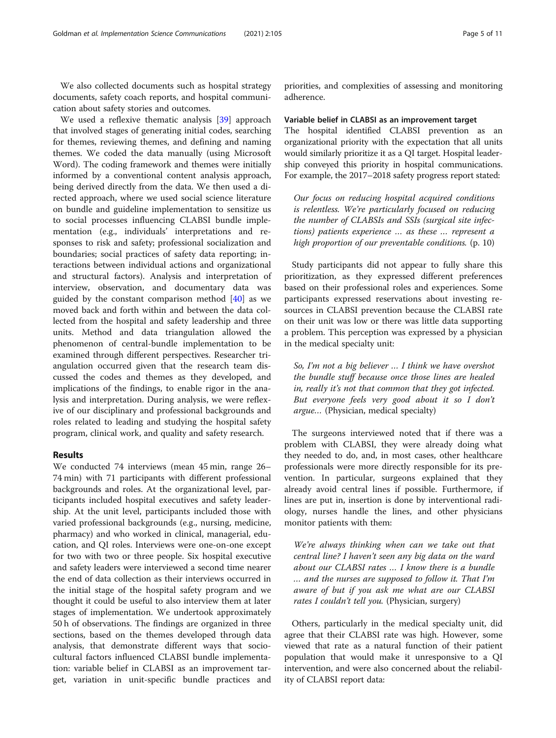We also collected documents such as hospital strategy documents, safety coach reports, and hospital communication about safety stories and outcomes.

We used a reflexive thematic analysis [\[39\]](#page-10-0) approach that involved stages of generating initial codes, searching for themes, reviewing themes, and defining and naming themes. We coded the data manually (using Microsoft Word). The coding framework and themes were initially informed by a conventional content analysis approach, being derived directly from the data. We then used a directed approach, where we used social science literature on bundle and guideline implementation to sensitize us to social processes influencing CLABSI bundle implementation (e.g., individuals' interpretations and responses to risk and safety; professional socialization and boundaries; social practices of safety data reporting; interactions between individual actions and organizational and structural factors). Analysis and interpretation of interview, observation, and documentary data was guided by the constant comparison method  $[40]$  $[40]$  $[40]$  as we moved back and forth within and between the data collected from the hospital and safety leadership and three units. Method and data triangulation allowed the phenomenon of central-bundle implementation to be examined through different perspectives. Researcher triangulation occurred given that the research team discussed the codes and themes as they developed, and implications of the findings, to enable rigor in the analysis and interpretation. During analysis, we were reflexive of our disciplinary and professional backgrounds and roles related to leading and studying the hospital safety program, clinical work, and quality and safety research.

## Results

We conducted 74 interviews (mean 45 min, range 26– 74 min) with 71 participants with different professional backgrounds and roles. At the organizational level, participants included hospital executives and safety leadership. At the unit level, participants included those with varied professional backgrounds (e.g., nursing, medicine, pharmacy) and who worked in clinical, managerial, education, and QI roles. Interviews were one-on-one except for two with two or three people. Six hospital executive and safety leaders were interviewed a second time nearer the end of data collection as their interviews occurred in the initial stage of the hospital safety program and we thought it could be useful to also interview them at later stages of implementation. We undertook approximately 50 h of observations. The findings are organized in three sections, based on the themes developed through data analysis, that demonstrate different ways that sociocultural factors influenced CLABSI bundle implementation: variable belief in CLABSI as an improvement target, variation in unit-specific bundle practices and

priorities, and complexities of assessing and monitoring adherence.

#### Variable belief in CLABSI as an improvement target

The hospital identified CLABSI prevention as an organizational priority with the expectation that all units would similarly prioritize it as a QI target. Hospital leadership conveyed this priority in hospital communications. For example, the 2017–2018 safety progress report stated:

Our focus on reducing hospital acquired conditions is relentless. We're particularly focused on reducing the number of CLABSIs and SSIs (surgical site infections) patients experience … as these … represent a high proportion of our preventable conditions. (p. 10)

Study participants did not appear to fully share this prioritization, as they expressed different preferences based on their professional roles and experiences. Some participants expressed reservations about investing resources in CLABSI prevention because the CLABSI rate on their unit was low or there was little data supporting a problem. This perception was expressed by a physician in the medical specialty unit:

So, I'm not a big believer … I think we have overshot the bundle stuff because once those lines are healed in, really it's not that common that they got infected. But everyone feels very good about it so I don't argue… (Physician, medical specialty)

The surgeons interviewed noted that if there was a problem with CLABSI, they were already doing what they needed to do, and, in most cases, other healthcare professionals were more directly responsible for its prevention. In particular, surgeons explained that they already avoid central lines if possible. Furthermore, if lines are put in, insertion is done by interventional radiology, nurses handle the lines, and other physicians monitor patients with them:

We're always thinking when can we take out that central line? I haven't seen any big data on the ward about our CLABSI rates … I know there is a bundle … and the nurses are supposed to follow it. That I'm aware of but if you ask me what are our CLABSI rates I couldn't tell you. (Physician, surgery)

Others, particularly in the medical specialty unit, did agree that their CLABSI rate was high. However, some viewed that rate as a natural function of their patient population that would make it unresponsive to a QI intervention, and were also concerned about the reliability of CLABSI report data: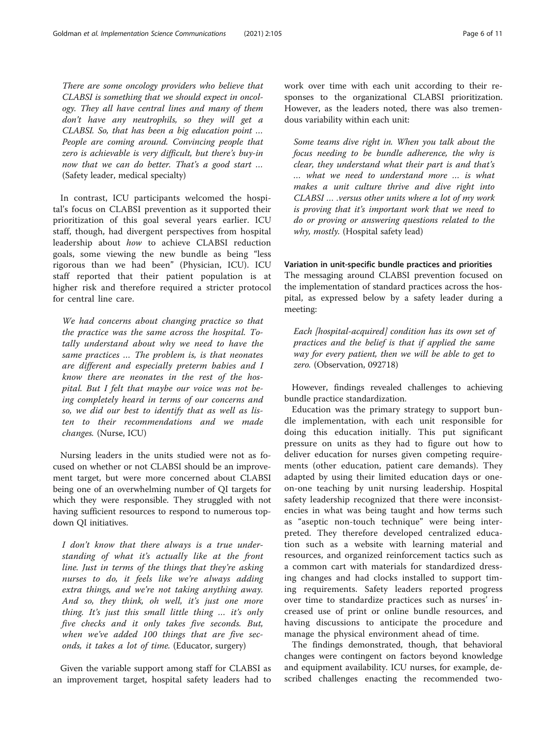There are some oncology providers who believe that CLABSI is something that we should expect in oncology. They all have central lines and many of them don't have any neutrophils, so they will get a CLABSI. So, that has been a big education point … People are coming around. Convincing people that zero is achievable is very difficult, but there's buy-in now that we can do better. That's a good start … (Safety leader, medical specialty)

In contrast, ICU participants welcomed the hospital's focus on CLABSI prevention as it supported their prioritization of this goal several years earlier. ICU staff, though, had divergent perspectives from hospital leadership about how to achieve CLABSI reduction goals, some viewing the new bundle as being "less rigorous than we had been" (Physician, ICU). ICU staff reported that their patient population is at higher risk and therefore required a stricter protocol for central line care.

We had concerns about changing practice so that the practice was the same across the hospital. Totally understand about why we need to have the same practices … The problem is, is that neonates are different and especially preterm babies and I know there are neonates in the rest of the hospital. But I felt that maybe our voice was not being completely heard in terms of our concerns and so, we did our best to identify that as well as listen to their recommendations and we made changes. (Nurse, ICU)

Nursing leaders in the units studied were not as focused on whether or not CLABSI should be an improvement target, but were more concerned about CLABSI being one of an overwhelming number of QI targets for which they were responsible. They struggled with not having sufficient resources to respond to numerous topdown QI initiatives.

I don't know that there always is a true understanding of what it's actually like at the front line. Just in terms of the things that they're asking nurses to do, it feels like we're always adding extra things, and we're not taking anything away. And so, they think, oh well, it's just one more thing. It's just this small little thing … it's only five checks and it only takes five seconds. But, when we've added 100 things that are five seconds, it takes a lot of time. (Educator, surgery)

Given the variable support among staff for CLABSI as an improvement target, hospital safety leaders had to work over time with each unit according to their responses to the organizational CLABSI prioritization. However, as the leaders noted, there was also tremendous variability within each unit:

Some teams dive right in. When you talk about the focus needing to be bundle adherence, the why is clear, they understand what their part is and that's … what we need to understand more … is what makes a unit culture thrive and dive right into CLABSI … .versus other units where a lot of my work is proving that it's important work that we need to do or proving or answering questions related to the why, mostly. (Hospital safety lead)

## Variation in unit-specific bundle practices and priorities

The messaging around CLABSI prevention focused on the implementation of standard practices across the hospital, as expressed below by a safety leader during a meeting:

Each [hospital-acquired] condition has its own set of practices and the belief is that if applied the same way for every patient, then we will be able to get to zero. (Observation, 092718)

However, findings revealed challenges to achieving bundle practice standardization.

Education was the primary strategy to support bundle implementation, with each unit responsible for doing this education initially. This put significant pressure on units as they had to figure out how to deliver education for nurses given competing requirements (other education, patient care demands). They adapted by using their limited education days or oneon-one teaching by unit nursing leadership. Hospital safety leadership recognized that there were inconsistencies in what was being taught and how terms such as "aseptic non-touch technique" were being interpreted. They therefore developed centralized education such as a website with learning material and resources, and organized reinforcement tactics such as a common cart with materials for standardized dressing changes and had clocks installed to support timing requirements. Safety leaders reported progress over time to standardize practices such as nurses' increased use of print or online bundle resources, and having discussions to anticipate the procedure and manage the physical environment ahead of time.

The findings demonstrated, though, that behavioral changes were contingent on factors beyond knowledge and equipment availability. ICU nurses, for example, described challenges enacting the recommended two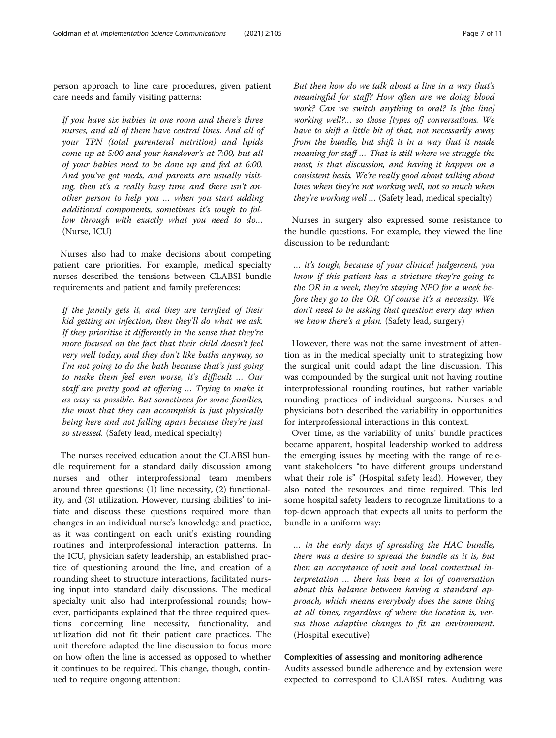person approach to line care procedures, given patient care needs and family visiting patterns:

If you have six babies in one room and there's three nurses, and all of them have central lines. And all of your TPN (total parenteral nutrition) and lipids come up at 5:00 and your handover's at 7:00, but all of your babies need to be done up and fed at 6:00. And you've got meds, and parents are usually visiting, then it's a really busy time and there isn't another person to help you … when you start adding additional components, sometimes it's tough to follow through with exactly what you need to do… (Nurse, ICU)

Nurses also had to make decisions about competing patient care priorities. For example, medical specialty nurses described the tensions between CLABSI bundle requirements and patient and family preferences:

If the family gets it, and they are terrified of their kid getting an infection, then they'll do what we ask. If they prioritise it differently in the sense that they're more focused on the fact that their child doesn't feel very well today, and they don't like baths anyway, so I'm not going to do the bath because that's just going to make them feel even worse, it's difficult … Our staff are pretty good at offering … Trying to make it as easy as possible. But sometimes for some families, the most that they can accomplish is just physically being here and not falling apart because they're just so stressed. (Safety lead, medical specialty)

The nurses received education about the CLABSI bundle requirement for a standard daily discussion among nurses and other interprofessional team members around three questions: (1) line necessity, (2) functionality, and (3) utilization. However, nursing abilities' to initiate and discuss these questions required more than changes in an individual nurse's knowledge and practice, as it was contingent on each unit's existing rounding routines and interprofessional interaction patterns. In the ICU, physician safety leadership, an established practice of questioning around the line, and creation of a rounding sheet to structure interactions, facilitated nursing input into standard daily discussions. The medical specialty unit also had interprofessional rounds; however, participants explained that the three required questions concerning line necessity, functionality, and utilization did not fit their patient care practices. The unit therefore adapted the line discussion to focus more on how often the line is accessed as opposed to whether it continues to be required. This change, though, continued to require ongoing attention:

But then how do we talk about a line in a way that's meaningful for staff? How often are we doing blood work? Can we switch anything to oral? Is [the line] working well?... so those [types of] conversations. We have to shift a little bit of that, not necessarily away from the bundle, but shift it in a way that it made meaning for staff … That is still where we struggle the most, is that discussion, and having it happen on a consistent basis. We're really good about talking about lines when they're not working well, not so much when they're working well … (Safety lead, medical specialty)

Nurses in surgery also expressed some resistance to the bundle questions. For example, they viewed the line discussion to be redundant:

… it's tough, because of your clinical judgement, you know if this patient has a stricture they're going to the OR in a week, they're staying NPO for a week before they go to the OR. Of course it's a necessity. We don't need to be asking that question every day when we know there's a plan. (Safety lead, surgery)

However, there was not the same investment of attention as in the medical specialty unit to strategizing how the surgical unit could adapt the line discussion. This was compounded by the surgical unit not having routine interprofessional rounding routines, but rather variable rounding practices of individual surgeons. Nurses and physicians both described the variability in opportunities for interprofessional interactions in this context.

Over time, as the variability of units' bundle practices became apparent, hospital leadership worked to address the emerging issues by meeting with the range of relevant stakeholders "to have different groups understand what their role is" (Hospital safety lead). However, they also noted the resources and time required. This led some hospital safety leaders to recognize limitations to a top-down approach that expects all units to perform the bundle in a uniform way:

… in the early days of spreading the HAC bundle, there was a desire to spread the bundle as it is, but then an acceptance of unit and local contextual interpretation … there has been a lot of conversation about this balance between having a standard approach, which means everybody does the same thing at all times, regardless of where the location is, versus those adaptive changes to fit an environment. (Hospital executive)

## Complexities of assessing and monitoring adherence

Audits assessed bundle adherence and by extension were expected to correspond to CLABSI rates. Auditing was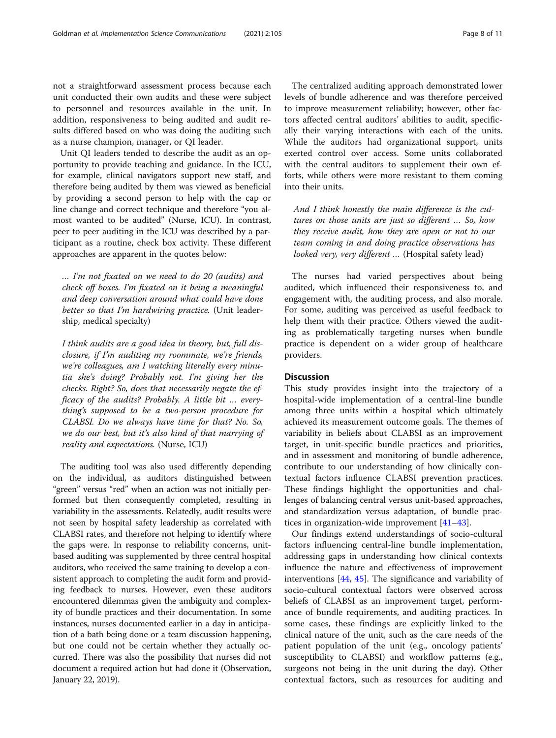not a straightforward assessment process because each unit conducted their own audits and these were subject to personnel and resources available in the unit. In addition, responsiveness to being audited and audit results differed based on who was doing the auditing such as a nurse champion, manager, or QI leader.

Unit QI leaders tended to describe the audit as an opportunity to provide teaching and guidance. In the ICU, for example, clinical navigators support new staff, and therefore being audited by them was viewed as beneficial by providing a second person to help with the cap or line change and correct technique and therefore "you almost wanted to be audited" (Nurse, ICU). In contrast, peer to peer auditing in the ICU was described by a participant as a routine, check box activity. These different approaches are apparent in the quotes below:

… I'm not fixated on we need to do 20 (audits) and check off boxes. I'm fixated on it being a meaningful and deep conversation around what could have done better so that I'm hardwiring practice. (Unit leadership, medical specialty)

I think audits are a good idea in theory, but, full disclosure, if I'm auditing my roommate, we're friends, we're colleagues, am I watching literally every minutia she's doing? Probably not. I'm giving her the checks. Right? So, does that necessarily negate the efficacy of the audits? Probably. A little bit … everything's supposed to be a two-person procedure for CLABSI. Do we always have time for that? No. So, we do our best, but it's also kind of that marrying of reality and expectations. (Nurse, ICU)

The auditing tool was also used differently depending on the individual, as auditors distinguished between "green" versus "red" when an action was not initially performed but then consequently completed, resulting in variability in the assessments. Relatedly, audit results were not seen by hospital safety leadership as correlated with CLABSI rates, and therefore not helping to identify where the gaps were. In response to reliability concerns, unitbased auditing was supplemented by three central hospital auditors, who received the same training to develop a consistent approach to completing the audit form and providing feedback to nurses. However, even these auditors encountered dilemmas given the ambiguity and complexity of bundle practices and their documentation. In some instances, nurses documented earlier in a day in anticipation of a bath being done or a team discussion happening, but one could not be certain whether they actually occurred. There was also the possibility that nurses did not document a required action but had done it (Observation, January 22, 2019).

The centralized auditing approach demonstrated lower levels of bundle adherence and was therefore perceived to improve measurement reliability; however, other factors affected central auditors' abilities to audit, specifically their varying interactions with each of the units. While the auditors had organizational support, units exerted control over access. Some units collaborated with the central auditors to supplement their own efforts, while others were more resistant to them coming into their units.

And I think honestly the main difference is the cultures on those units are just so different … So, how they receive audit, how they are open or not to our team coming in and doing practice observations has looked very, very different … (Hospital safety lead)

The nurses had varied perspectives about being audited, which influenced their responsiveness to, and engagement with, the auditing process, and also morale. For some, auditing was perceived as useful feedback to help them with their practice. Others viewed the auditing as problematically targeting nurses when bundle practice is dependent on a wider group of healthcare providers.

## **Discussion**

This study provides insight into the trajectory of a hospital-wide implementation of a central-line bundle among three units within a hospital which ultimately achieved its measurement outcome goals. The themes of variability in beliefs about CLABSI as an improvement target, in unit-specific bundle practices and priorities, and in assessment and monitoring of bundle adherence, contribute to our understanding of how clinically contextual factors influence CLABSI prevention practices. These findings highlight the opportunities and challenges of balancing central versus unit-based approaches, and standardization versus adaptation, of bundle practices in organization-wide improvement [\[41](#page-10-0)–[43\]](#page-10-0).

Our findings extend understandings of socio-cultural factors influencing central-line bundle implementation, addressing gaps in understanding how clinical contexts influence the nature and effectiveness of improvement interventions [[44,](#page-10-0) [45\]](#page-10-0). The significance and variability of socio-cultural contextual factors were observed across beliefs of CLABSI as an improvement target, performance of bundle requirements, and auditing practices. In some cases, these findings are explicitly linked to the clinical nature of the unit, such as the care needs of the patient population of the unit (e.g., oncology patients' susceptibility to CLABSI) and workflow patterns (e.g., surgeons not being in the unit during the day). Other contextual factors, such as resources for auditing and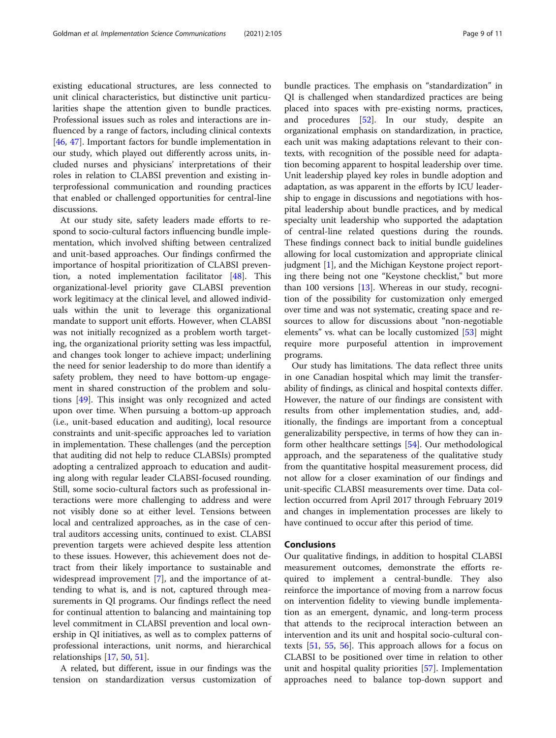existing educational structures, are less connected to unit clinical characteristics, but distinctive unit particularities shape the attention given to bundle practices. Professional issues such as roles and interactions are influenced by a range of factors, including clinical contexts [[46,](#page-10-0) [47\]](#page-10-0). Important factors for bundle implementation in our study, which played out differently across units, included nurses and physicians' interpretations of their roles in relation to CLABSI prevention and existing interprofessional communication and rounding practices that enabled or challenged opportunities for central-line discussions.

At our study site, safety leaders made efforts to respond to socio-cultural factors influencing bundle implementation, which involved shifting between centralized and unit-based approaches. Our findings confirmed the importance of hospital prioritization of CLABSI prevention, a noted implementation facilitator [\[48](#page-10-0)]. This organizational-level priority gave CLABSI prevention work legitimacy at the clinical level, and allowed individuals within the unit to leverage this organizational mandate to support unit efforts. However, when CLABSI was not initially recognized as a problem worth targeting, the organizational priority setting was less impactful, and changes took longer to achieve impact; underlining the need for senior leadership to do more than identify a safety problem, they need to have bottom-up engagement in shared construction of the problem and solutions [\[49](#page-10-0)]. This insight was only recognized and acted upon over time. When pursuing a bottom-up approach (i.e., unit-based education and auditing), local resource constraints and unit-specific approaches led to variation in implementation. These challenges (and the perception that auditing did not help to reduce CLABSIs) prompted adopting a centralized approach to education and auditing along with regular leader CLABSI-focused rounding. Still, some socio-cultural factors such as professional interactions were more challenging to address and were not visibly done so at either level. Tensions between local and centralized approaches, as in the case of central auditors accessing units, continued to exist. CLABSI prevention targets were achieved despite less attention to these issues. However, this achievement does not detract from their likely importance to sustainable and widespread improvement [[7\]](#page-9-0), and the importance of attending to what is, and is not, captured through measurements in QI programs. Our findings reflect the need for continual attention to balancing and maintaining top level commitment in CLABSI prevention and local ownership in QI initiatives, as well as to complex patterns of professional interactions, unit norms, and hierarchical relationships [[17,](#page-10-0) [50](#page-10-0), [51](#page-10-0)].

A related, but different, issue in our findings was the tension on standardization versus customization of bundle practices. The emphasis on "standardization" in QI is challenged when standardized practices are being placed into spaces with pre-existing norms, practices, and procedures [\[52\]](#page-10-0). In our study, despite an organizational emphasis on standardization, in practice, each unit was making adaptations relevant to their contexts, with recognition of the possible need for adaptation becoming apparent to hospital leadership over time. Unit leadership played key roles in bundle adoption and adaptation, as was apparent in the efforts by ICU leadership to engage in discussions and negotiations with hospital leadership about bundle practices, and by medical specialty unit leadership who supported the adaptation of central-line related questions during the rounds. These findings connect back to initial bundle guidelines allowing for local customization and appropriate clinical judgment [[1\]](#page-9-0), and the Michigan Keystone project reporting there being not one "Keystone checklist," but more than 100 versions  $[13]$  $[13]$ . Whereas in our study, recognition of the possibility for customization only emerged over time and was not systematic, creating space and resources to allow for discussions about "non-negotiable elements" vs. what can be locally customized [\[53](#page-10-0)] might require more purposeful attention in improvement programs.

Our study has limitations. The data reflect three units in one Canadian hospital which may limit the transferability of findings, as clinical and hospital contexts differ. However, the nature of our findings are consistent with results from other implementation studies, and, additionally, the findings are important from a conceptual generalizability perspective, in terms of how they can inform other healthcare settings [[54\]](#page-10-0). Our methodological approach, and the separateness of the qualitative study from the quantitative hospital measurement process, did not allow for a closer examination of our findings and unit-specific CLABSI measurements over time. Data collection occurred from April 2017 through February 2019 and changes in implementation processes are likely to have continued to occur after this period of time.

#### Conclusions

Our qualitative findings, in addition to hospital CLABSI measurement outcomes, demonstrate the efforts required to implement a central-bundle. They also reinforce the importance of moving from a narrow focus on intervention fidelity to viewing bundle implementation as an emergent, dynamic, and long-term process that attends to the reciprocal interaction between an intervention and its unit and hospital socio-cultural contexts [[51](#page-10-0), [55,](#page-10-0) [56\]](#page-10-0). This approach allows for a focus on CLABSI to be positioned over time in relation to other unit and hospital quality priorities [\[57](#page-10-0)]. Implementation approaches need to balance top-down support and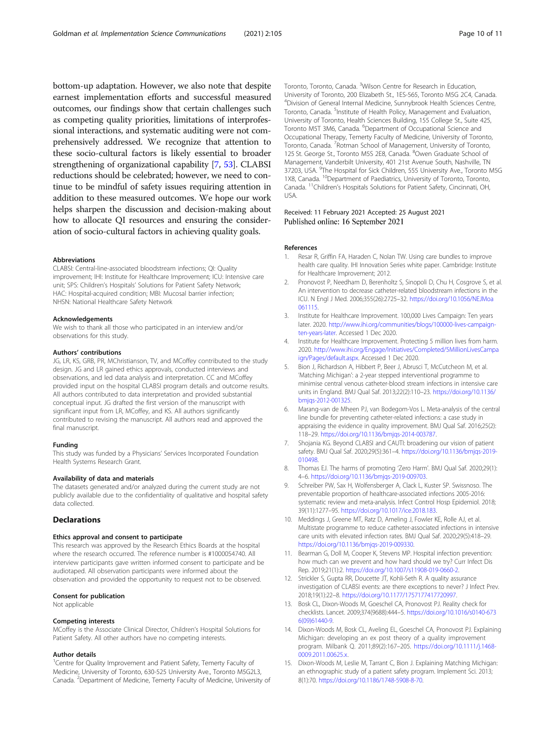<span id="page-9-0"></span>bottom-up adaptation. However, we also note that despite earnest implementation efforts and successful measured outcomes, our findings show that certain challenges such as competing quality priorities, limitations of interprofessional interactions, and systematic auditing were not comprehensively addressed. We recognize that attention to these socio-cultural factors is likely essential to broader strengthening of organizational capability [7, [53](#page-10-0)]. CLABSI reductions should be celebrated; however, we need to continue to be mindful of safety issues requiring attention in addition to these measured outcomes. We hope our work helps sharpen the discussion and decision-making about how to allocate QI resources and ensuring the consideration of socio-cultural factors in achieving quality goals.

#### Abbreviations

CLABSI: Central-line-associated bloodstream infections; QI: Quality improvement; IHI: Institute for Healthcare Improvement; ICU: Intensive care unit; SPS: Children's Hospitals' Solutions for Patient Safety Network; HAC: Hospital-acquired condition; MBI: Mucosal barrier infection; NHSN: National Healthcare Safety Network

#### Acknowledgements

We wish to thank all those who participated in an interview and/or observations for this study.

#### Authors' contributions

JG, LR, KS, GRB, PR, MChristianson, TV, and MCoffey contributed to the study design. JG and LR gained ethics approvals, conducted interviews and observations, and led data analysis and interpretation. CC and MCoffey provided input on the hospital CLABSI program details and outcome results. All authors contributed to data interpretation and provided substantial conceptual input. JG drafted the first version of the manuscript with significant input from LR, MCoffey, and KS. All authors significantly contributed to revising the manuscript. All authors read and approved the final manuscript.

#### Funding

This study was funded by a Physicians' Services Incorporated Foundation Health Systems Research Grant.

#### Availability of data and materials

The datasets generated and/or analyzed during the current study are not publicly available due to the confidentiality of qualitative and hospital safety data collected.

## **Declarations**

#### Ethics approval and consent to participate

This research was approved by the Research Ethics Boards at the hospital where the research occurred. The reference number is #1000054740. All interview participants gave written informed consent to participate and be audiotaped. All observation participants were informed about the observation and provided the opportunity to request not to be observed.

#### Consent for publication

Not applicable

#### Competing interests

MCoffey is the Associate Clinical Director, Children's Hospital Solutions for Patient Safety. All other authors have no competing interests.

#### Author details

<sup>1</sup>Centre for Quality Improvement and Patient Safety, Temerty Faculty of Medicine, University of Toronto, 630-525 University Ave., Toronto M5G2L3, Canada. <sup>2</sup>Department of Medicine, Temerty Faculty of Medicine, University of

Toronto, Toronto, Canada. <sup>3</sup>Wilson Centre for Research in Education, University of Toronto, 200 Elizabeth St., 1ES-565, Toronto M5G 2C4, Canada. 4 Division of General Internal Medicine, Sunnybrook Health Sciences Centre, Toronto, Canada. <sup>5</sup>Institute of Health Policy, Management and Evaluation, University of Toronto, Health Sciences Building, 155 College St., Suite 425, Toronto M5T 3M6, Canada. <sup>6</sup>Department of Occupational Science and Occupational Therapy, Temerty Faculty of Medicine, University of Toronto, Toronto, Canada. <sup>7</sup> Rotman School of Management, University of Toronto 125 St. George St., Toronto M5S 2E8, Canada. <sup>8</sup>Owen Graduate School of Management, Vanderbilt University, 401 21st Avenue South, Nashville, TN 37203, USA. <sup>9</sup>The Hospital for Sick Children, 555 University Ave., Toronto M5G 1X8, Canada. <sup>10</sup>Department of Paediatrics, University of Toronto, Toronto, Canada. 11Children's Hospitals Solutions for Patient Safety, Cincinnati, OH, USA.

## Received: 11 February 2021 Accepted: 25 August 2021 Published online: 16 September 2021

#### References

- 1. Resar R, Griffin FA, Haraden C, Nolan TW. Using care bundles to improve health care quality. IHI Innovation Series white paper. Cambridge: Institute for Healthcare Improvement; 2012.
- 2. Pronovost P, Needham D, Berenholtz S, Sinopoli D, Chu H, Cosgrove S, et al. An intervention to decrease catheter-related bloodstream infections in the ICU. N Engl J Med. 2006;355(26):2725–32. [https://doi.org/10.1056/NEJMoa](https://doi.org/10.1056/NEJMoa061115) [061115](https://doi.org/10.1056/NEJMoa061115).
- 3. Institute for Healthcare Improvement. 100,000 Lives Campaign: Ten years later. 2020. [http://www.ihi.org/communities/blogs/100000-lives-campaign](http://www.ihi.org/communities/blogs/100000-lives-campaign-ten-years-later)[ten-years-later.](http://www.ihi.org/communities/blogs/100000-lives-campaign-ten-years-later) Accessed 1 Dec 2020.
- 4. Institute for Healthcare Improvement. Protecting 5 million lives from harm. 2020. [http://www.ihi.org/Engage/Initiatives/Completed/5MillionLivesCampa](http://www.ihi.org/Engage/Initiatives/Completed/5MillionLivesCampaign/Pages/default.aspx) [ign/Pages/default.aspx.](http://www.ihi.org/Engage/Initiatives/Completed/5MillionLivesCampaign/Pages/default.aspx) Accessed 1 Dec 2020.
- 5. Bion J, Richardson A, Hibbert P, Beer J, Abrusci T, McCutcheon M, et al. 'Matching Michigan': a 2-year stepped interventional programme to minimise central venous catheter-blood stream infections in intensive care units in England. BMJ Qual Saf. 2013;22(2):110–23. [https://doi.org/10.1136/](https://doi.org/10.1136/bmjqs-2012-001325) [bmjqs-2012-001325.](https://doi.org/10.1136/bmjqs-2012-001325)
- 6. Marang-van de Mheen PJ, van Bodegom-Vos L. Meta-analysis of the central line bundle for preventing catheter-related infections: a case study in appraising the evidence in quality improvement. BMJ Qual Saf. 2016;25(2): 118–29. [https://doi.org/10.1136/bmjqs-2014-003787.](https://doi.org/10.1136/bmjqs-2014-003787)
- 7. Shojania KG. Beyond CLABSI and CAUTI: broadening our vision of patient safety. BMJ Qual Saf. 2020;29(5):361–4. [https://doi.org/10.1136/bmjqs-2019-](https://doi.org/10.1136/bmjqs-2019-010498) [010498](https://doi.org/10.1136/bmjqs-2019-010498).
- 8. Thomas EJ. The harms of promoting 'Zero Harm'. BMJ Qual Saf. 2020;29(1): 4–6. <https://doi.org/10.1136/bmjqs-2019-009703>.
- 9. Schreiber PW, Sax H, Wolfensberger A, Clack L, Kuster SP. Swissnoso. The preventable proportion of healthcare-associated infections 2005-2016: systematic review and meta-analysis. Infect Control Hosp Epidemiol. 2018; 39(11):1277–95. <https://doi.org/10.1017/ice.2018.183>.
- 10. Meddings J, Greene MT, Ratz D, Ameling J, Fowler KE, Rolle AJ, et al. Multistate programme to reduce catheter-associated infections in intensive care units with elevated infection rates. BMJ Qual Saf. 2020;29(5):418–29. [https://doi.org/10.1136/bmjqs-2019-009330.](https://doi.org/10.1136/bmjqs-2019-009330)
- 11. Bearman G, Doll M, Cooper K, Stevens MP. Hospital infection prevention: how much can we prevent and how hard should we try? Curr Infect Dis Rep. 2019;21(1):2. <https://doi.org/10.1007/s11908-019-0660-2>.
- 12. Strickler S, Gupta RR, Doucette JT, Kohli-Seth R. A quality assurance investigation of CLABSI events: are there exceptions to never? J Infect Prev. 2018;19(1):22–8. [https://doi.org/10.1177/1757177417720997.](https://doi.org/10.1177/1757177417720997)
- 13. Bosk CL, Dixon-Woods M, Goeschel CA, Pronovost PJ. Reality check for checklists. Lancet. 2009;374(9688):444–5. [https://doi.org/10.1016/s0140-673](https://doi.org/10.1016/s0140-6736(09)61440-9) [6\(09\)61440-9](https://doi.org/10.1016/s0140-6736(09)61440-9).
- 14. Dixon-Woods M, Bosk CL, Aveling EL, Goeschel CA, Pronovost PJ. Explaining Michigan: developing an ex post theory of a quality improvement program. Milbank Q. 2011;89(2):167–205. [https://doi.org/10.1111/j.1468-](https://doi.org/10.1111/j.1468-0009.2011.00625.x) [0009.2011.00625.x](https://doi.org/10.1111/j.1468-0009.2011.00625.x).
- 15. Dixon-Woods M, Leslie M, Tarrant C, Bion J. Explaining Matching Michigan: an ethnographic study of a patient safety program. Implement Sci. 2013; 8(1):70. [https://doi.org/10.1186/1748-5908-8-70.](https://doi.org/10.1186/1748-5908-8-70)